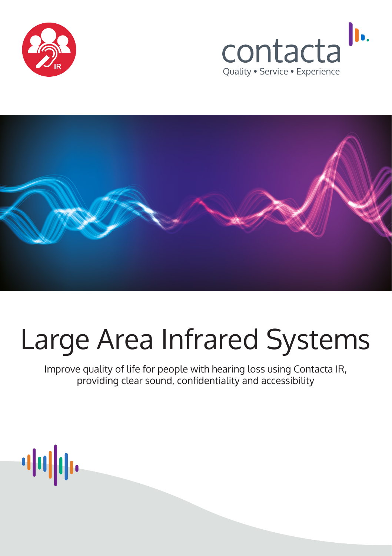





# Large Area Infrared Systems

Improve quality of life for people with hearing loss using Contacta IR, providing clear sound, confidentiality and accessibility

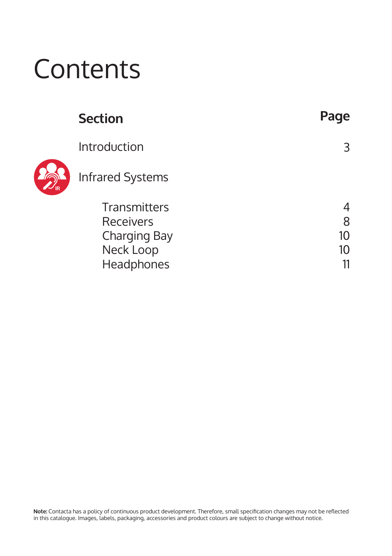# **Contents**

|   | <b>Section</b>          | Page |
|---|-------------------------|------|
|   | Introduction            | 3    |
| R | <b>Infrared Systems</b> |      |
|   | <b>Transmitters</b>     |      |
|   | <b>Receivers</b>        | 8    |
|   | Charging Bay            | 10   |
|   | Neck Loop               | 10   |
|   | Headphones              |      |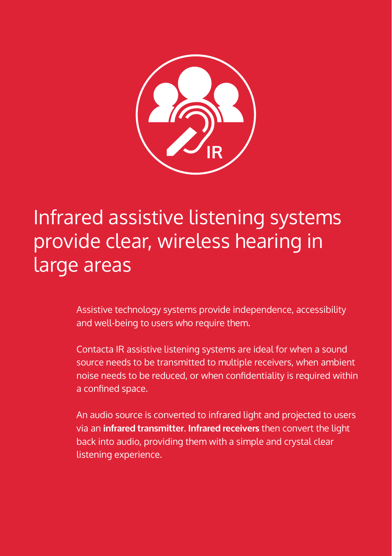

Infrared assistive listening systems provide clear, wireless hearing in large areas

> Assistive technology systems provide independence, accessibility and well-being to users who require them.

Contacta IR assistive listening systems are ideal for when a sound source needs to be transmitted to multiple receivers, when ambient noise needs to be reduced, or when confidentiality is required within a confined space.

An audio source is converted to infrared light and projected to users via an **infrared transmitter**. **Infrared receivers** then convert the light back into audio, providing them with a simple and crystal clear listening experience.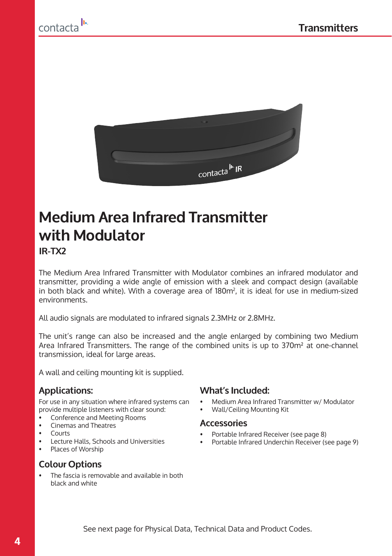



## **Medium Area Infrared Transmitter with Modulator IR-TX2**

The Medium Area Infrared Transmitter with Modulator combines an infrared modulator and transmitter, providing a wide angle of emission with a sleek and compact design (available in both black and white). With a coverage area of 180m<sup>2</sup>, it is ideal for use in medium-sized environments.

All audio signals are modulated to infrared signals 2.3MHz or 2.8MHz.

The unit's range can also be increased and the angle enlarged by combining two Medium Area Infrared Transmitters. The range of the combined units is up to 370m² at one-channel transmission, ideal for large areas.

A wall and ceiling mounting kit is supplied.

For use in any situation where infrared systems can provide multiple listeners with clear sound:

- Conference and Meeting Rooms
- Cinemas and Theatres
- Courts
- Lecture Halls, Schools and Universities<br>• Places of Worshin
- Places of Worship

#### **Colour Options**

• The fascia is removable and available in both black and white

#### **Applications: What's Included:**

- Medium Area Infrared Transmitter w/ Modulator
- Wall/Ceiling Mounting Kit

#### **Accessories**

- Portable Infrared Receiver (see page 8)
- Portable Infrared Underchin Receiver (see page 9)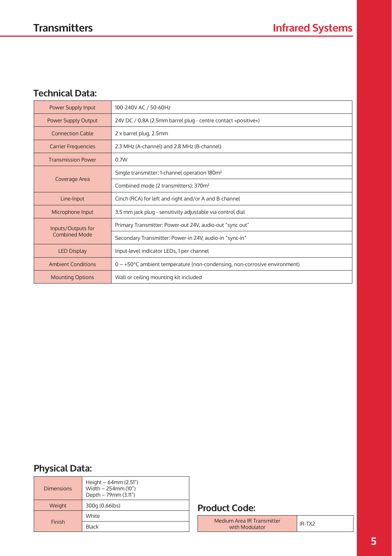## **Technical Data:**

| Power Supply Input                                                             | 100-240V AC / 50-60Hz                                                        |  |
|--------------------------------------------------------------------------------|------------------------------------------------------------------------------|--|
| <b>Power Supply Output</b>                                                     | 24V DC / 0.8A (2.5mm barrel plug - centre contact »positive«)                |  |
| <b>Connection Cable</b>                                                        | 2 x barrel plug, 2.5mm                                                       |  |
| <b>Carrier Frequencies</b>                                                     | 2.3 MHz (A-channel) and 2.8 MHz (B-channel)                                  |  |
| <b>Transmission Power</b>                                                      | 0.7W                                                                         |  |
|                                                                                | Single transmitter: 1-channel operation 180m <sup>2</sup>                    |  |
| Coverage Area                                                                  | Combined mode (2 transmitters): 370m <sup>2</sup>                            |  |
| Line-Input                                                                     | Cinch (RCA) for left and right and/or A and B-channel                        |  |
| 3.5 mm jack plug - sensitivity adjustable via control dial<br>Microphone Input |                                                                              |  |
| Inputs/Outputs for                                                             | Primary Transmitter: Power-out 24V, audio-out "sync out"                     |  |
| <b>Combined Mode</b>                                                           | Secondary Transmitter: Power-in 24V, audio-in "sync-in"                      |  |
| Input-level indicator LEDs, 1 per channel<br><b>LED Display</b>                |                                                                              |  |
| <b>Ambient Conditions</b>                                                      | $0 - +50$ °C ambient temperature (non-condensing, non-corrosive environment) |  |
| <b>Mounting Options</b>                                                        | Wall or ceiling mounting kit included                                        |  |

## **Physical Data:**

| <b>Dimensions</b> | Height $-64$ mm (2.51")<br>Width - 254mm (10")<br>Depth - 79mm (3.11") |
|-------------------|------------------------------------------------------------------------|
| Weight            | 300g (0.66lbs)                                                         |
|                   | White                                                                  |
| Finish            | Black                                                                  |

## **Product Code:**

| Medium Area IR Transmitter |  |  |
|----------------------------|--|--|
| with Modulator             |  |  |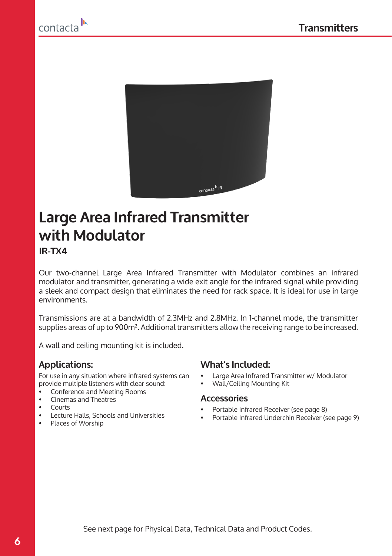



## **Large Area Infrared Transmitter with Modulator IR-TX4**

Our two-channel Large Area Infrared Transmitter with Modulator combines an infrared modulator and transmitter, generating a wide exit angle for the infrared signal while providing a sleek and compact design that eliminates the need for rack space. It is ideal for use in large environments.

Transmissions are at a bandwidth of 2.3MHz and 2.8MHz. In 1-channel mode, the transmitter supplies areas of up to 900m². Additional transmitters allow the receiving range to be increased.

A wall and ceiling mounting kit is included.

For use in any situation where infrared systems can provide multiple listeners with clear sound:

- Conference and Meeting Rooms
- Cinemas and Theatres
- Courts
- Lecture Halls, Schools and Universities<br>• Places of Worship
- Places of Worship

#### **Applications: What's Included:**

- Large Area Infrared Transmitter w/ Modulator
- Wall/Ceiling Mounting Kit

#### **Accessories**

- Portable Infrared Receiver (see page 8)
- Portable Infrared Underchin Receiver (see page 9)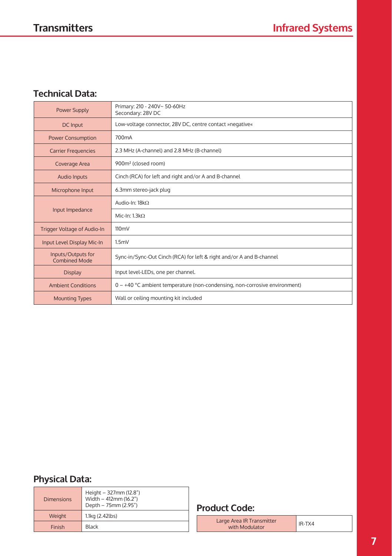## **Technical Data:**

| <b>Power Supply</b>                                                                                         | Primary: 210 - 240V~ 50-60Hz<br>Secondary: 28V DC                            |  |
|-------------------------------------------------------------------------------------------------------------|------------------------------------------------------------------------------|--|
| DC Input                                                                                                    | Low-voltage connector, 28V DC, centre contact »negative«                     |  |
| <b>Power Consumption</b>                                                                                    | 700 <sub>m</sub> A                                                           |  |
| 2.3 MHz (A-channel) and 2.8 MHz (B-channel)<br><b>Carrier Frequencies</b>                                   |                                                                              |  |
| Coverage Area                                                                                               | 900m <sup>2</sup> (closed room)                                              |  |
| <b>Audio Inputs</b>                                                                                         | Cinch (RCA) for left and right and/or A and B-channel                        |  |
| Microphone Input                                                                                            | 6.3mm stereo-jack plug                                                       |  |
|                                                                                                             | Audio-In: 18kQ                                                               |  |
| Input Impedance                                                                                             | Mic-In: $1.3kQ$                                                              |  |
| Trigger Voltage of Audio-In                                                                                 | 110 <sub>mV</sub>                                                            |  |
| Input Level Display Mic-In                                                                                  | 1.5 <sub>m</sub>                                                             |  |
| Inputs/Outputs for<br>Sync-in/Sync-Out Cinch (RCA) for left & right and/or A and B-channel<br>Combined Mode |                                                                              |  |
| Input level-LEDs, one per channel.<br><b>Display</b>                                                        |                                                                              |  |
| <b>Ambient Conditions</b>                                                                                   | $0 - +40$ °C ambient temperature (non-condensing, non-corrosive environment) |  |
| Wall or ceiling mounting kit included<br><b>Mounting Types</b>                                              |                                                                              |  |

## **Physical Data:**

| <b>Dimensions</b> | Height - 327mm (12.8")<br>Width - 412mm (16.2")<br>Depth - 75mm (2.95") |
|-------------------|-------------------------------------------------------------------------|
| Weight            | 1.1kg (2.42lbs)                                                         |
| Finish            | Black                                                                   |

## **Product Code:**

Large Area IR Transmitter pe Area IR Transmitter<br>with Modulator **Interpolaty** IR-TX4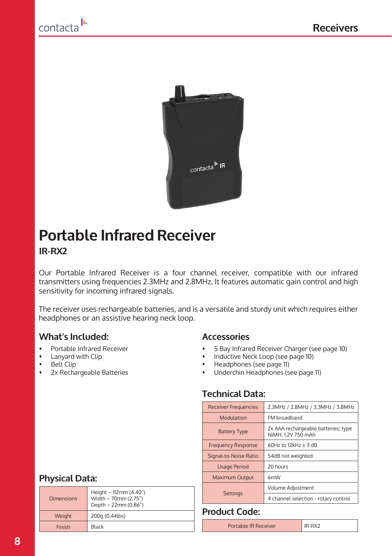



## **Portable Infrared Receiver**

## **IR-RX2**

Our Portable Infrared Receiver is a four channel receiver, compatible with our infrared transmitters using frequencies 2.3MHz and 2.8MHz. It features automatic gain control and high sensitivity for incoming infrared signals.

The receiver uses rechargeable batteries, and is a versatile and sturdy unit which requires either headphones or an assistive hearing neck loop.

## **What's Included:**

- Portable Infrared Receiver
- Lanyard with Clip<br>• Belt Clip
- Belt Clip<br>• 2x Becha
- 2x Rechargeable Batteries

#### **Accessories**

- 5 Bay Infrared Receiver Charger (see page 10)
- Inductive Neck Loop (see page 10)
- Headphones (see page 11)
- Underchin Headphones (see page 11)

## **Technical Data:**

| 2.3MHz / 2.8MHz / 3.3MHz / 3.8MHz<br><b>Receiver Frequencies</b> |                                                           |  |
|------------------------------------------------------------------|-----------------------------------------------------------|--|
| Modulation                                                       | FM broadband                                              |  |
| <b>Battery Type</b>                                              | 2x AAA rechargeable batteries; type<br>NiMH, 1.2V 750 mAh |  |
| <b>Frequency Response</b>                                        | $60$ Hz to $12$ kHz + 3 dB                                |  |
| Signal-to-Noise Ratio                                            | 54dB not weighted                                         |  |
| <b>Usage Period</b>                                              | 20 hours                                                  |  |
| <b>Maximum Output</b><br>6mW                                     |                                                           |  |
|                                                                  | Volume Adjustment                                         |  |
| <b>Settings</b>                                                  | 4 channel selection - rotary control                      |  |

## **Physical Data:**

| <b>Dimensions</b> | Height - 112mm (4.40")<br>Width - 70mm (2.75")<br>Depth - 22mm (0.86") |
|-------------------|------------------------------------------------------------------------|
| Weight            | 200g (0.44lbs)                                                         |
| Finish            | <b>Black</b>                                                           |
|                   |                                                                        |

## **Product Code:**

Portable IR Receiver **IR-RX2**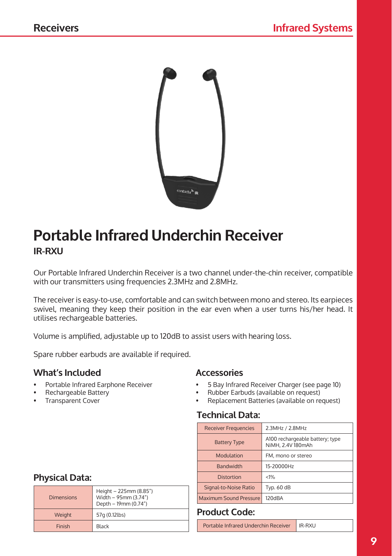

## **Portable Infrared Underchin Receiver IR-RXU**

Our Portable Infrared Underchin Receiver is a two channel under-the-chin receiver, compatible with our transmitters using frequencies 2.3MHz and 2.8MHz.

The receiver is easy-to-use, comfortable and can switch between mono and stereo. Its earpieces swivel, meaning they keep their position in the ear even when a user turns his/her head. It utilises rechargeable batteries.

Volume is amplified, adjustable up to 120dB to assist users with hearing loss.

Spare rubber earbuds are available if required.

## **What's Included**

- Portable Infrared Earphone Receiver
- Rechargeable Battery
- Transparent Cover

## **Physical Data:**

| Height - 225mm (8.85")<br>Width - 95mm (3.74")<br><b>Dimensions</b> | Signal-to-Noise Ratio<br><b>Typ. 60</b><br>Maximum Sound Pressure<br>120dBA |                                   |  |
|---------------------------------------------------------------------|-----------------------------------------------------------------------------|-----------------------------------|--|
| Weight                                                              | Depth - 19mm (0.74")<br>57q (0.12lbs)                                       | <b>Product Code:</b>              |  |
| Finish                                                              | Black                                                                       | Portable Infrared Underchin Recei |  |

## **Accessories**

- 5 Bay Infrared Receiver Charger (see page 10)
- Rubber Earbuds (available on request)<br>• Replacement Batteries (available on re
- Replacement Batteries (available on request)

## **Technical Data:**

| 2.3MHz / 2.8MHz<br><b>Receiver Frequencies</b>                              |                    |  |
|-----------------------------------------------------------------------------|--------------------|--|
| A100 rechargeable battery; type<br><b>Battery Type</b><br>NiMH, 2.4V 180mAh |                    |  |
| Modulation                                                                  | FM, mono or stereo |  |
| <b>Bandwidth</b>                                                            | 15-20000Hz         |  |
| <b>Distortion</b>                                                           | < 1%               |  |
| Signal-to-Noise Ratio                                                       | Typ. 60 dB         |  |
| Maximum Sound Pressure                                                      | 120dBA             |  |

## **Product Code:**

Portable Infrared Underchin Receiver | IR-RXU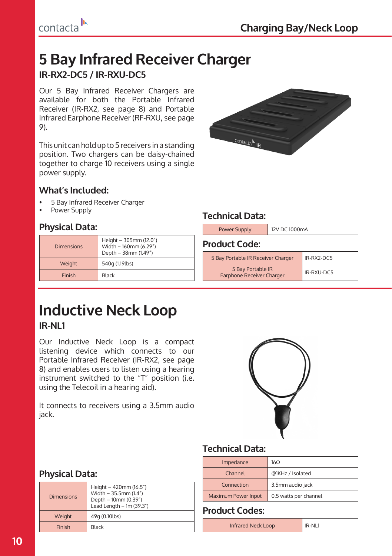## **5 Bay Infrared Receiver Charger IR-RX2-DC5 / IR-RXU-DC5**

Our 5 Bay Infrared Receiver Chargers are available for both the Portable Infrared Receiver (IR-RX2, see page 8) and Portable Infrared Earphone Receiver (RF-RXU, see page 9).

This unit can hold up to 5 receivers in a standing position. Two chargers can be daisy-chained together to charge 10 receivers using a single power supply.

## **What's Included:**

- 5 Bay Infrared Receiver Charger
- Power Supply

## **Physical Data:**

| <b>Dimensions</b> | Height - 305mm (12.0")<br>Width - 160mm (6.29")<br>Depth - 38mm (1.49") |
|-------------------|-------------------------------------------------------------------------|
| Weight            | 540q (1.19lbs)                                                          |
| Finish            | Black                                                                   |



## **Technical Data:**

| <b>Power Supply</b>                            | 12V DC 1000mA |            |  |
|------------------------------------------------|---------------|------------|--|
| <b>Product Code:</b>                           |               |            |  |
| 5 Bay Portable IR Receiver Charger             |               | IR-RX2-DC5 |  |
| 5 Bay Portable IR<br>Earphone Receiver Charger |               | IR-RXU-DC5 |  |

## **Inductive Neck Loop IR-NL1**

Our Inductive Neck Loop is a compact listening device which connects to our Portable Infrared Receiver (IR-RX2, see page 8) and enables users to listen using a hearing instrument switched to the "T" position (i.e. using the Telecoil in a hearing aid).

It connects to receivers using a 3.5mm audio jack.



## **Technical Data:**

| Impedance           | 16 <sub>2</sub>       |
|---------------------|-----------------------|
| Channel             | @1KHz / Isolated      |
| Connection          | 3.5mm audio jack      |
| Maximum Power Input | 0.5 watts per channel |

## **Product Codes:**

| Infrared Neck Loop | IR-NL1 |
|--------------------|--------|
|                    |        |

## **Physical Data:**

| <b>Dimensions</b> | Height - 420mm (16.5")<br>Width - $35.5$ mm (1.4")<br>Depth - 10mm (0.39")<br>Lead Length $- 1m (39.3n)$ |
|-------------------|----------------------------------------------------------------------------------------------------------|
| Weight            | 49q (0.10lbs)                                                                                            |
| Finish            | <b>Black</b>                                                                                             |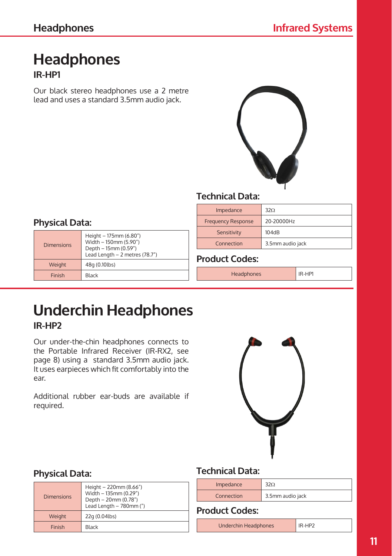Dimensions

**Physical Data:**

Weight 48g (0.10lbs) Finish Black

## **Headphones IR-HP1**

Our black stereo headphones use a 2 metre lead and uses a standard 3.5mm audio jack.



## **Technical Data:**

| Impedance                 | 320              |
|---------------------------|------------------|
| <b>Frequency Response</b> | 20-20000Hz       |
| Sensitivity               | 104dB            |
| Connection                | 3.5mm audio jack |

## **Product Codes:**

Headphones IR-HP1

## **Underchin Headphones IR-HP2**

Height – 175mm (6.80") Width – 150mm (5.90") Depth – 15mm (0.59") Lead Length – 2 metres (78.7")

Our under-the-chin headphones connects to the Portable Infrared Receiver (IR-RX2, see page 8) using a standard 3.5mm audio jack. It uses earpieces which fit comfortably into the ear.

Additional rubber ear-buds are available if required.



## **Physical Data:**

| <b>Dimensions</b> | Height - 220mm (8.66")<br>Width - 135mm (0.29")<br>Depth - 20mm (0.78")<br>Lead Length - 780mm (") |
|-------------------|----------------------------------------------------------------------------------------------------|
| Weight            | 22q (0.04lbs)                                                                                      |
| Finish            | <b>Black</b>                                                                                       |

## **Technical Data:**

| Impedance  |                  |
|------------|------------------|
| Connection | 3.5mm audio jack |

**Product Codes:**

Underchin Headphones IR-HP2

**11**